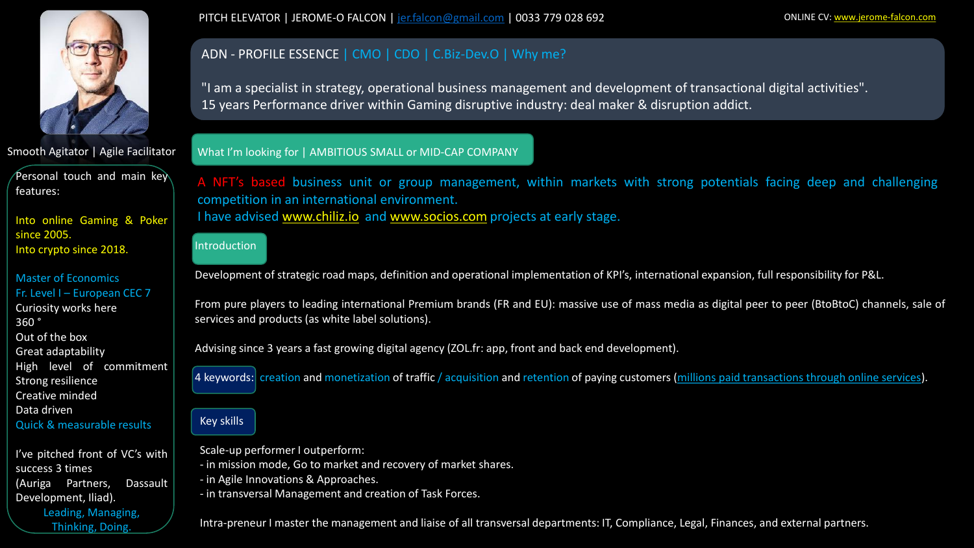

Smooth Agitator | Agile Facilitator

Personal touch and main key features:

Into online Gaming & Poker since 2005. Into crypto since 2018.

### Master of Economics Fr. Level I – European CEC 7

Curiosity works here 360 °

Out of the box

Great adaptability

High level of commitment

Strong resilience

Creative minded

Data driven

Quick & measurable results

I've pitched front of VC's with success 3 times (Auriga Partners, Dassault Development, Iliad). Leading, Managing, Thinking, Doing.

PITCH ELEVATOR | JEROME-O FALCON | [jer.falcon@gmail.com](mailto:jer.falcon@gmail.com) | 0033 779 028 692 ONLINE CV: [www.jerome-falcon.com](http://www.jerome-falcon.com/)

## ADN - PROFILE ESSENCE | CMO | CDO | C.Biz-Dev.O | Why me?

"I am a specialist in strategy, operational business management and development of transactional digital activities". 15 years Performance driver within Gaming disruptive industry: deal maker & disruption addict.

### What I'm looking for | AMBITIOUS SMALL or MID-CAP COMPANY

A NFT's based business unit or group management, within markets with strong potentials facing deep and challenging competition in an international environment. I have advised [www.chiliz.io](http://www.chiliz.io/) and [www.socios.com](http://www.socios.com/) projects at early stage.

# Introduction

Development of strategic road maps, definition and operational implementation of KPI's, international expansion, full responsibility for P&L.

From pure players to leading international Premium brands (FR and EU): massive use of mass media as digital peer to peer (BtoBtoC) channels, sale of services and products (as white label solutions).

Advising since 3 years a fast growing digital agency (ZOL.fr: app, front and back end development).

4 keywords: creation and monetization of traffic / acquisition and retention of paying customers (millions paid transactions through online services).

# **Key skills**

Scale-up performer I outperform:

- in mission mode, Go to market and recovery of market shares.

- in Agile Innovations & Approaches.

- in transversal Management and creation of Task Forces.

Intra-preneur I master the management and liaise of all transversal departments: IT, Compliance, Legal, Finances, and external partners.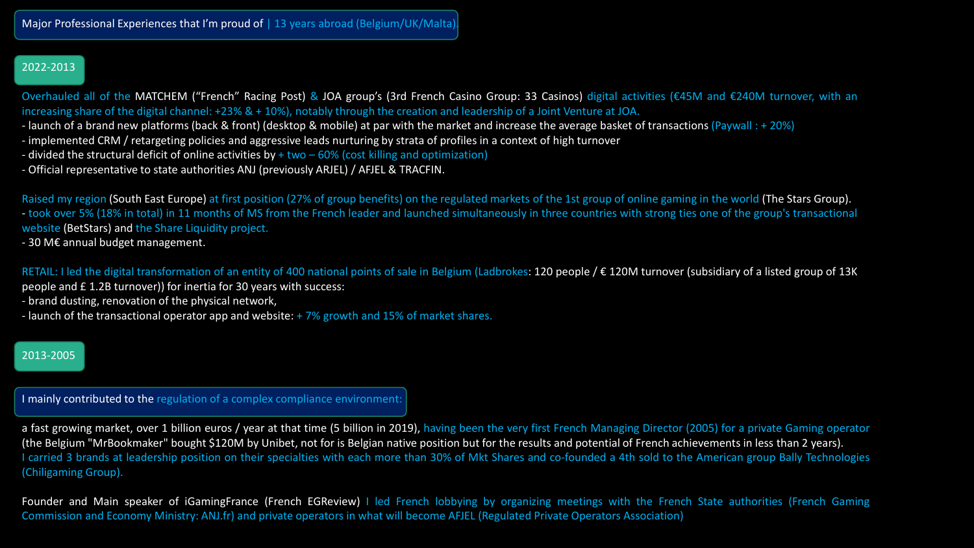## 2022-2013

Overhauled all of the MATCHEM ("French" Racing Post) & JOA group's (3rd French Casino Group: 33 Casinos) digital activities (€45M and €240M turnover, with an increasing share of the digital channel: +23% & + 10%), notably through the creation and leadership of a Joint Venture at JOA.

- launch of a brand new platforms (back & front) (desktop & mobile) at par with the market and increase the average basket of transactions (Paywall : + 20%)
- implemented CRM / retargeting policies and aggressive leads nurturing by strata of profiles in a context of high turnover
- divided the structural deficit of online activities by + two 60% (cost killing and optimization)
- Official representative to state authorities ANJ (previously ARJEL) / AFJEL & TRACFIN.

Raised my region (South East Europe) at first position (27% of group benefits) on the regulated markets of the 1st group of online gaming in the world (The Stars Group). - took over 5% (18% in total) in 11 months of MS from the French leader and launched simultaneously in three countries with strong ties one of the group's transactional website (BetStars) and the Share Liquidity project.

- 30 M€ annual budget management.

RETAIL: I led the digital transformation of an entity of 400 national points of sale in Belgium (Ladbrokes: 120 people / € 120M turnover (subsidiary of a listed group of 13K

- people and £ 1.2B turnover)) for inertia for 30 years with success:
- brand dusting, renovation of the physical network,
- launch of the transactional operator app and website: + 7% growth and 15% of market shares.

## 2013-2005

I mainly contributed to the regulation of a complex compliance environment:

a fast growing market, over 1 billion euros / year at that time (5 billion in 2019), having been the very first French Managing Director (2005) for a private Gaming operator (the Belgium "MrBookmaker" bought \$120M by Unibet, not for is Belgian native position but for the results and potential of French achievements in less than 2 years). I carried 3 brands at leadership position on their specialties with each more than 30% of Mkt Shares and co-founded a 4th sold to the American group Bally Technologies (Chiligaming Group).

Founder and Main speaker of iGamingFrance (French EGReview) I led French lobbying by organizing meetings with the French State authorities (French Gaming Commission and Economy Ministry: ANJ.fr) and private operators in what will become AFJEL (Regulated Private Operators Association)